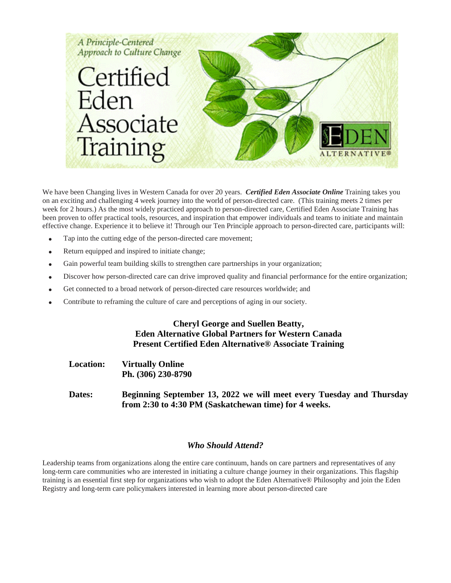

We have been Changing lives in Western Canada for over 20 years. *Certified Eden Associate Online* Training takes you on an exciting and challenging 4 week journey into the world of person-directed care. (This training meets 2 times per week for 2 hours.) As the most widely practiced approach to person-directed care, Certified Eden Associate Training has been proven to offer practical tools, resources, and inspiration that empower individuals and teams to initiate and maintain effective change. Experience it to believe it! Through our Ten Principle approach to person-directed care, participants will:

- Tap into the cutting edge of the person-directed care movement;
- Return equipped and inspired to initiate change;
- Gain powerful team building skills to strengthen care partnerships in your organization;
- Discover how person-directed care can drive improved quality and financial performance for the entire organization;
- Get connected to a broad network of person-directed care resources worldwide; and
- Contribute to reframing the culture of care and perceptions of aging in our society.

#### **Cheryl George and Suellen Beatty, Eden Alternative Global Partners for Western Canada Present Certified Eden Alternative® Associate Training**

**Location: Virtually Online Ph. (306) 230-8790** 

**Dates: Beginning September 13, 2022 we will meet every Tuesday and Thursday from 2:30 to 4:30 PM (Saskatchewan time) for 4 weeks.** 

#### *Who Should Attend?*

Leadership teams from organizations along the entire care continuum, hands on care partners and representatives of any long-term care communities who are interested in initiating a culture change journey in their organizations. This flagship training is an essential first step for organizations who wish to adopt the Eden Alternative® Philosophy and join the Eden Registry and long-term care policymakers interested in learning more about person-directed care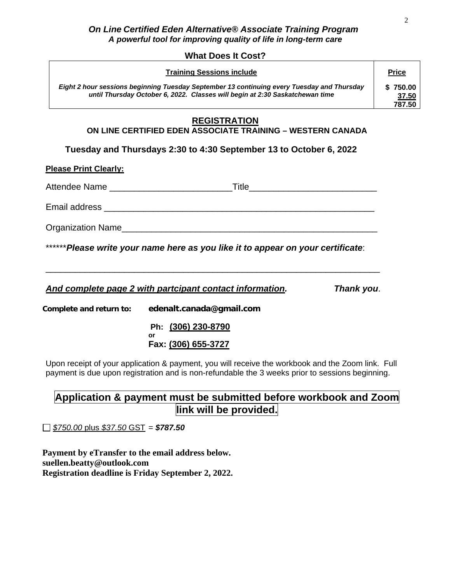#### *On Line Certified Eden Alternative® Associate Training Program A powerful tool for improving quality of life in long-term care*

#### **What Does It Cost?**

| <b>Training Sessions include</b>                                                                                                                                           | <b>Price</b>                |
|----------------------------------------------------------------------------------------------------------------------------------------------------------------------------|-----------------------------|
| Eight 2 hour sessions beginning Tuesday September 13 continuing every Tuesday and Thursday<br>until Thursday October 6, 2022. Classes will begin at 2:30 Saskatchewan time | \$750.00<br>37.50<br>787.50 |

### **REGISTRATION**

### **ON LINE CERTIFIED EDEN ASSOCIATE TRAINING – WESTERN CANADA**

**Tuesday and Thursdays 2:30 to 4:30 September 13 to October 6, 2022**

**Please Print Clearly:** 

Attendee Name **Attendee** Name

Email address \_\_\_\_\_\_\_\_\_\_\_\_\_\_\_\_\_\_\_\_\_\_\_\_\_\_\_\_\_\_\_\_\_\_\_\_\_\_\_\_\_\_\_\_\_\_\_\_\_\_\_\_\_\_\_

Organization Name\_\_\_\_\_\_\_\_\_\_\_\_\_\_\_\_\_\_\_\_\_\_\_\_\_\_\_\_\_\_\_\_\_\_\_\_\_\_\_\_\_\_\_\_\_\_\_\_\_\_\_\_

\*\*\*\*\*\**Please write your name here as you like it to appear on your certificate*:

\_\_\_\_\_\_\_\_\_\_\_\_\_\_\_\_\_\_\_\_\_\_\_\_\_\_\_\_\_\_\_\_\_\_\_\_\_\_\_\_\_\_\_\_\_\_\_\_\_\_\_\_\_\_\_\_\_\_\_\_\_\_\_\_\_\_\_\_

*And complete page 2 with partcipant contact information. Thank you*.

**Complete and return to: edenalt.canada@gmail.com**

 **Ph: (306) 230-8790 or**

**Fax: (306) 655-3727**

Upon receipt of your application & payment, you will receive the workbook and the Zoom link. Full payment is due upon registration and is non-refundable the 3 weeks prior to sessions beginning.

# **Application & payment must be submitted before workbook and Zoom link will be provided.**

*\$750.00* plus *\$37.50* GST = *\$787.50*

**Payment by eTransfer to the email address below. suellen.beatty@outlook.com Registration deadline is Friday September 2, 2022.**